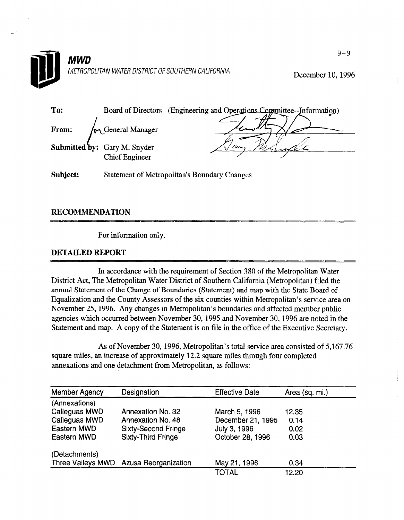

December 10, 1996

| To:   |                                                              | Board of Directors (Engineering and Operations Committee--Information) |
|-------|--------------------------------------------------------------|------------------------------------------------------------------------|
| From: | by General Manager                                           |                                                                        |
|       | <b>Submitted by:</b> Gary M. Snyder<br><b>Chief Engineer</b> | cın                                                                    |

Subject: Statement of Metropolitan's Boundary Changes

## **RECOMMENDATION**

For information only.

## DETAILED REPORT

In accordance with the requirement of  $S_0$  of  $S_1$  of the  $M$  $\sum_{i=1}^{\infty}$  accordance with the Equipment of Section 360 of the Metropolitan Water  $\sum_{i=1}^{\infty}$ District Act, The Metropolitan Water District of Southern California (Metropolitan) filed the annual Statement of the Change of Boundaries (Statement) and map with the State Board of Equalization and the County Assessors of the six counties within Metropolitan's service area on November 25, 1996. Any changes in Metropolitan's boundaries and affected member public agencies which occurred between November 30, 1995 and November 30, 1996 are noted in the Statement and map. A copy of the Statement is on file in the office of the Executive Secretary.

As of November 30, 1996, Metropolitan's total service area consisted of 5167.76 As of November 30, 1990, Metropolitan s'iotal service area consisted square miles, an increase of approximately 12.2 square miles through four completed annexations and one detachment from Metropolitan, as follows:

| <b>Member Agency</b> | Designation                 | <b>Effective Date</b> | Area (sq. mi.) |
|----------------------|-----------------------------|-----------------------|----------------|
| (Annexations)        |                             |                       |                |
| Calleguas MWD        | Annexation No. 32           | March 5, 1996         | 12.35          |
| Calleguas MWD        | Annexation No. 48           | December 21, 1995     | 0.14           |
| Eastern MWD          | <b>Sixty-Second Fringe</b>  | July 3, 1996          | 0.02           |
| Eastern MWD          | Sixty-Third Fringe          | October 28, 1996      | 0.03           |
| (Detachments)        |                             |                       |                |
| Three Valleys MWD    | <b>Azusa Reorganization</b> | May 21, 1996          | 0.34           |
|                      |                             | TOTAL                 | 12.20          |